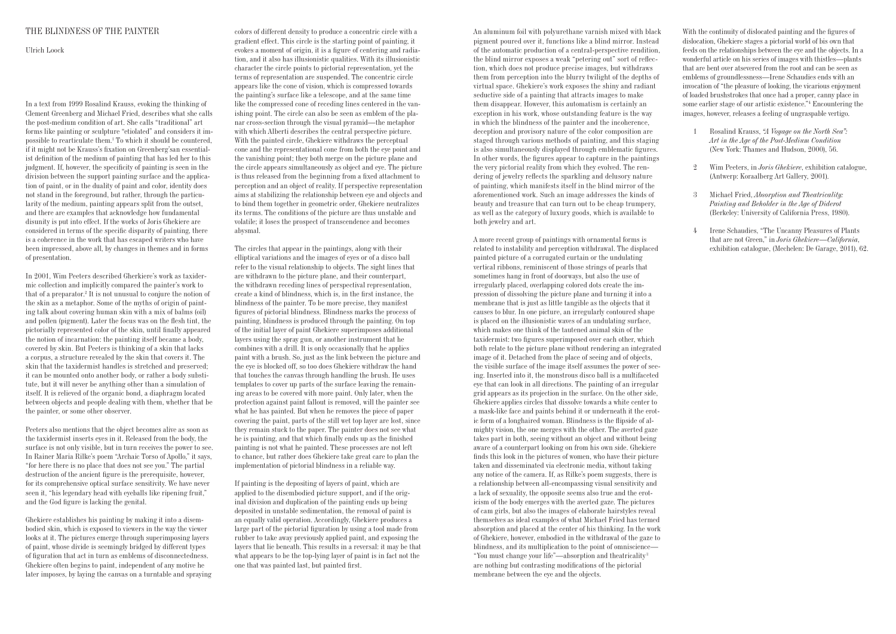An aluminum foil with polyurethane varnish mixed with black pigment poured over it, functions like a blind mirror. Instead of the automatic production of a central-perspective rendition, the blind mirror exposes a weak "petering out" sort of reflection, which does not produce precise images, but withdraws them from perception into the blurry twilight of the depths of virtual space. Ghekiere's work exposes the shiny and radiant seductive side of a painting that attracts images to make them disappear. However, this automatism is certainly an exception in his work, whose outstanding feature is the way in which the blindness of the painter and the incoherence, deception and provisory nature of the color composition are staged through various methods of painting, and this staging is also simultaneously displayed through emblematic figures. In other words, the figures appear to capture in the paintings the very pictorial reality from which they evolved. The rendering of jewelry reflects the sparkling and delusory nature of painting, which manifests itself in the blind mirror of the aforementioned work. Such an image addresses the kinds of beauty and treasure that can turn out to be cheap trumpery, as well as the category of luxury goods, which is available to both jewelry and art.

A more recent group of paintings with ornamental forms is related to instability and perception withdrawal. The displaced painted picture of a corrugated curtain or the undulating vertical ribbons, reminiscent of those strings of pearls that sometimes hang in front of doorways, but also the use of irregularly placed, overlapping colored dots create the impression of dissolving the picture plane and turning it into a membrane that is just as little tangible as the objects that it causes to blur. In one picture, an irregularly contoured shape is placed on the illusionistic waves of an undulating surface, which makes one think of the tautened animal skin of the taxidermist: two figures superimposed over each other, which both relate to the picture plane without rendering an integrated image of it. Detached from the place of seeing and of objects, the visible surface of the image itself assumes the power of seeing. Inserted into it, the monstrous disco ball is a multifaceted eye that can look in all directions. The painting of an irregular grid appears as its projection in the surface. On the other side, Ghekiere applies circles that dissolve towards a white center to a mask-like face and paints behind it or underneath it the erotic form of a longhaired woman. Blindness is the flipside of almighty vision, the one merges with the other. The averted gaze takes part in both, seeing without an object and without being aware of a counterpart looking on from his own side. Ghekiere finds this look in the pictures of women, who have their picture taken and disseminated via electronic media, without taking any notice of the camera. If, as Rilke's poem suggests, there is a relationship between all-encompassing visual sensitivity and a lack of sexuality, the opposite seems also true and the eroticism of the body emerges with the averted gaze. The pictures of cam girls, but also the images of elaborate hairstyles reveal themselves as ideal examples of what Michael Fried has termed absorption and placed at the center of his thinking. In the work of Ghekiere, however, embodied in the withdrawal of the gaze to blindness, and its multiplication to the point of omniscience— "You must change your life"—absorption and theatricality <sup>3</sup> are nothing but contrasting modifications of the pictorial membrane between the eye and the objects.

With the continuity of dislocated painting and the figures of dislocation, Ghekiere stages a pictorial world of bis own that feeds on the relationships between the eye and the objects. In a wonderful article on his series of images with thistles—plants that are bent over atsevered from the root and can be seen as emblems of groundlessness—Irene Schaudies ends with an invocation of "the pleasure of looking, the vicarious enjoyment of loaded brushstrokes that once had a proper, canny place in some earlier stage of our artistic existence."4 Encountering the images, however, releases a feeling of ungraspable vertigo.

- 1 Rosalind Krauss, *"A Voyage on the North Sea": Art in the Age of the Post-Medium Condition* (New York: Thames and Hudson, 2000), 56.
- 2 Wim Peeters, in *Joris Ghekiere*, exhibition catalogue, (Antwerp: Koraalberg Art Gallery, 2001).
- 3 Michael Fried, *Absorption and Theatricality: Painting and Beholder in the Age of Diderot*  (Berkeley: University of California Press, 1980).
- 4 Irene Schaudies, "The Uncanny Pleasures of Plants that are not Green," in *Joris Ghekiere*—*California*, exhibition catalogue, (Mechelen: De Garage, 2011), 62.

## THE BLINDNESS OF THE PAINTER

Ulrich Loock

In a text from 1999 Rosalind Krauss, evoking the thinking of Clement Greenberg and Michael Fried, describes what she calls the post-medium condition of art. She calls "traditional" art forms like painting or sculpture "etiolated" and considers it impossible to rearticulate them.1 To which it should be countered, if it might not be Krauss's fixation on Greenberg'san essentialist definition of the medium of painting that has led her to this judgment. If, however, the specificity of painting is seen in the division between the support painting surface and the application of paint, or in the duality of paint and color, identity does not stand in the foreground, but rather, through the particularity of the medium, painting appears split from the outset, and there are examples that acknowledge how fundamental disunity is put into effect. If the works of Joris Ghekiere are considered in terms of the specific disparity of painting, there is a coherence in the work that has escaped writers who have been impressed, above all, by changes in themes and in forms of presentation.

In 2001, Wim Peeters described Gherkiere's work as taxidermic collection and implicitly compared the painter's work to that of a preparator.<sup>2</sup> It is not unusual to conjure the notion of the skin as a metaphor. Some of the myths of origin of painting talk about covering human skin with a mix of balms (oil) and pollen (pigment). Later the focus was on the flesh tint, the pictorially represented color of the skin, until finally appeared the notion of incarnation: the painting itself became a body, covered by skin. But Peeters is thinking of a skin that lacks a corpus, a structure revealed by the skin that covers it. The skin that the taxidermist handles is stretched and preserved; it can be mounted onto another body, or rather a body substitute, but it will never be anything other than a simulation of itself. It is relieved of the organic bond, a diaphragm located between objects and people dealing with them, whether that be the painter, or some other observer.

Peeters also mentions that the object becomes alive as soon as the taxidermist inserts eyes in it. Released from the body, the surface is not only visible, but in turn receives the power to see. In Rainer Maria Rilke's poem "Archaic Torso of Apollo," it says, "for here there is no place that does not see you." The partial destruction of the ancient figure is the prerequisite, however, for its comprehensive optical surface sensitivity. We have never seen it, "his legendary head with eyeballs like ripening fruit," and the God figure is lacking the genital.

Ghekiere establishes his painting by making it into a disembodied skin, which is exposed to viewers in the way the viewer looks at it. The pictures emerge through superimposing layers of paint, whose divide is seemingly bridged by different types of figuration that act in turn as emblems of disconnectedness. Ghekiere often begins to paint, independent of any motive he later imposes, by laying the canvas on a turntable and spraying colors of different density to produce a concentric circle with a gradient effect. This circle is the starting point of painting, it evokes a moment of origin, it is a figure of centering and radiation, and it also has illusionistic qualities. With its illusionistic character the circle points to pictorial representation, yet the terms of representation are suspended. The concentric circle appears like the cone of vision, which is compressed towards the painting's surface like a telescope, and at the same time like the compressed cone of receding lines centered in the vanishing point. The circle can also be seen as emblem of the planar cross-section through the visual pyramid—the metaphor with which Alberti describes the central perspective picture. With the painted circle, Ghekiere withdraws the perceptual cone and the representational cone from both the eye point and the vanishing point; they both merge on the picture plane and the circle appears simultaneously as object and eye. The picture is thus released from the beginning from a fixed attachment to perception and an object of reality. If perspective representation aims at stabilizing the relationship between eye and objects and to bind them together in geometric order, Ghekiere neutralizes its terms. The conditions of the picture are thus unstable and volatile; it loses the prospect of transcendence and becomes abysmal.

The circles that appear in the paintings, along with their elliptical variations and the images of eyes or of a disco ball refer to the visual relationship to objects. The sight lines that are withdrawn to the picture plane, and their counterpart, the withdrawn receding lines of perspectival representation, create a kind of blindness, which is, in the first instance, the blindness of the painter. To be more precise, they manifest figures of pictorial blindness. Blindness marks the process of painting, blindness is produced through the painting. On top of the initial layer of paint Ghekiere superimposes additional layers using the spray gun, or another instrument that he combines with a drill. It is only occasionally that he applies paint with a brush. So, just as the link between the picture and the eye is blocked off, so too does Ghekiere withdraw the hand that touches the canvas through handling the brush. He uses templates to cover up parts of the surface leaving the remaining areas to be covered with more paint. Only later, when the protection against paint fallout is removed, will the painter see what he has painted. But when he removes the piece of paper covering the paint, parts of the still wet top layer are lost, since they remain stuck to the paper. The painter does not see what he is painting, and that which finally ends up as the finished painting is not what he painted. These processes are not left to chance, but rather does Ghekiere take great care to plan the implementation of pictorial blindness in a reliable way.

If painting is the depositing of layers of paint, which are applied to the disembodied picture support, and if the original division and duplication of the painting ends up being deposited in unstable sedimentation, the removal of paint is an equally valid operation. Accordingly, Ghekiere produces a large part of the pictorial figuration by using a tool made from rubber to take away previously applied paint, and exposing the layers that lie beneath. This results in a reversal: it may be that what appears to be the top-lying layer of paint is in fact not the one that was painted last, but painted first.